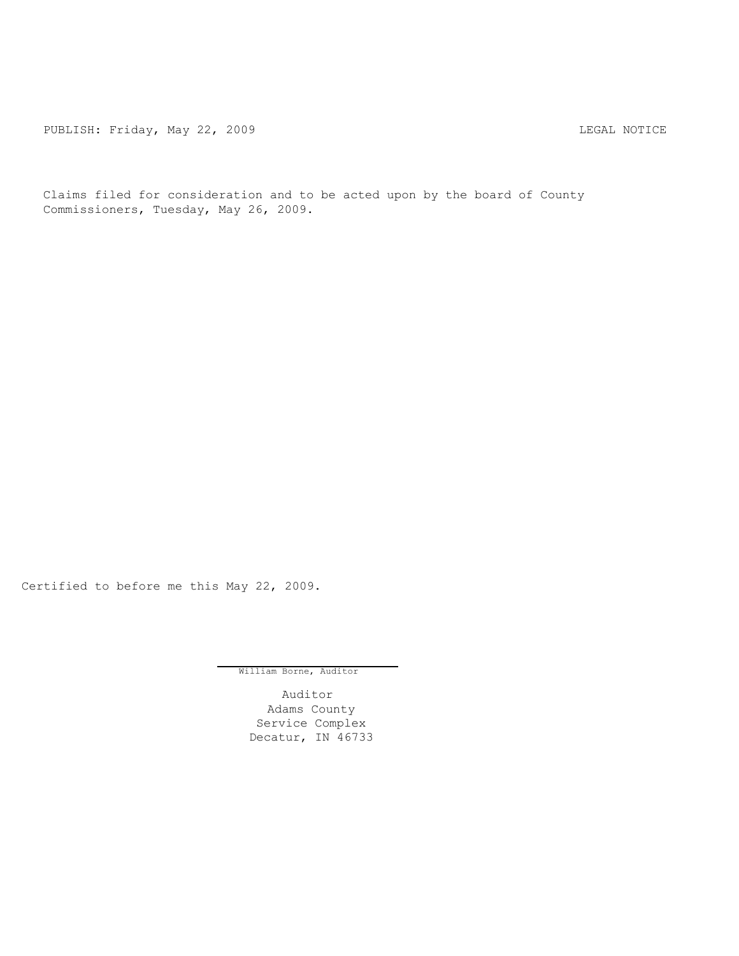PUBLISH: Friday, May 22, 2009 CHA CHANGE CONTROLLY AND THE LEGAL NOTICE

Claims filed for consideration and to be acted upon by the board of County Commissioners, Tuesday, May 26, 2009.

Certified to before me this May 22, 2009.

William Borne, Auditor

Auditor Adams County Service Complex Decatur, IN 46733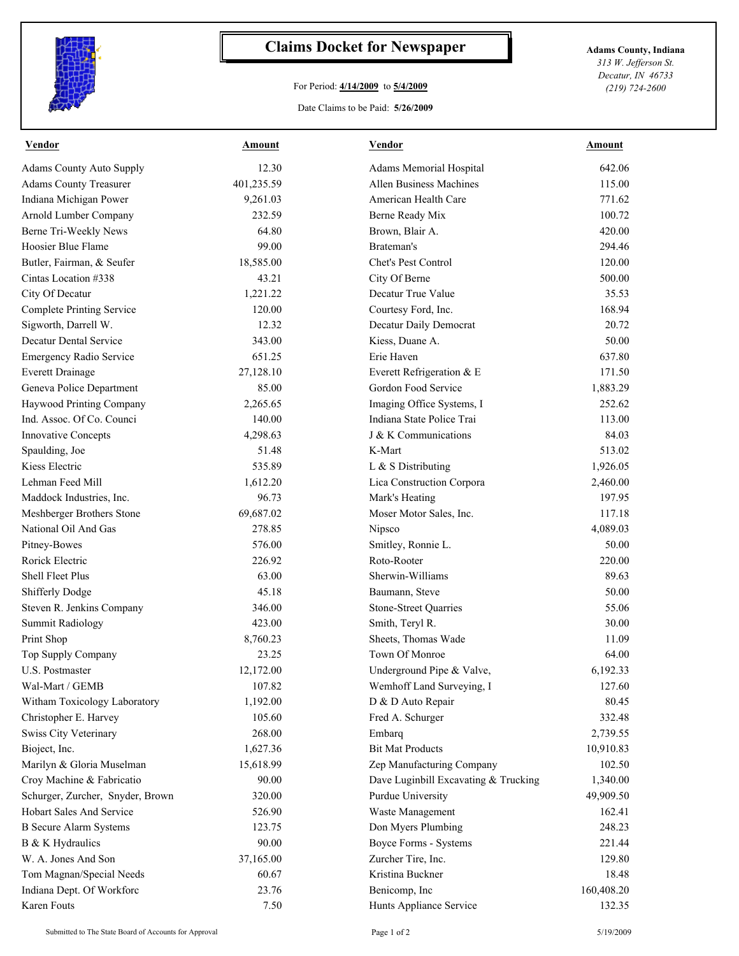

## **Claims Docket for Newspaper Adams County, Indiana**

## For Period: **4/14/2009** to **5/4/2009**

*313 W. Jefferson St. Decatur, IN 46733 (219) 724-2600*

Date Claims to be Paid: **5/26/2009**

| <b>Vendor</b>                    | <u>Amount</u> | <b>Vendor</b>                        | <u>Amount</u> |
|----------------------------------|---------------|--------------------------------------|---------------|
| <b>Adams County Auto Supply</b>  | 12.30         | Adams Memorial Hospital              | 642.06        |
| <b>Adams County Treasurer</b>    | 401,235.59    | Allen Business Machines              | 115.00        |
| Indiana Michigan Power           | 9,261.03      | American Health Care                 | 771.62        |
| Arnold Lumber Company            | 232.59        | Berne Ready Mix                      | 100.72        |
| Berne Tri-Weekly News            | 64.80         | Brown, Blair A.                      | 420.00        |
| Hoosier Blue Flame               | 99.00         | Brateman's                           | 294.46        |
| Butler, Fairman, & Seufer        | 18,585.00     | Chet's Pest Control                  | 120.00        |
| Cintas Location #338             | 43.21         | City Of Berne                        | 500.00        |
| City Of Decatur                  | 1,221.22      | Decatur True Value                   | 35.53         |
| <b>Complete Printing Service</b> | 120.00        | Courtesy Ford, Inc.                  | 168.94        |
| Sigworth, Darrell W.             | 12.32         | Decatur Daily Democrat               | 20.72         |
| <b>Decatur Dental Service</b>    | 343.00        | Kiess, Duane A.                      | 50.00         |
| Emergency Radio Service          | 651.25        | Erie Haven                           | 637.80        |
| <b>Everett Drainage</b>          | 27,128.10     | Everett Refrigeration & E            | 171.50        |
| Geneva Police Department         | 85.00         | Gordon Food Service                  | 1,883.29      |
| Haywood Printing Company         | 2,265.65      | Imaging Office Systems, I            | 252.62        |
| Ind. Assoc. Of Co. Counci        | 140.00        | Indiana State Police Trai            | 113.00        |
| <b>Innovative Concepts</b>       | 4,298.63      | J & K Communications                 | 84.03         |
| Spaulding, Joe                   | 51.48         | K-Mart                               | 513.02        |
| Kiess Electric                   | 535.89        | L & S Distributing                   | 1,926.05      |
| Lehman Feed Mill                 | 1,612.20      | Lica Construction Corpora            | 2,460.00      |
| Maddock Industries, Inc.         | 96.73         | Mark's Heating                       | 197.95        |
| Meshberger Brothers Stone        | 69,687.02     | Moser Motor Sales, Inc.              | 117.18        |
| National Oil And Gas             | 278.85        | Nipsco                               | 4,089.03      |
| Pitney-Bowes                     | 576.00        | Smitley, Ronnie L.                   | 50.00         |
| Rorick Electric                  | 226.92        | Roto-Rooter                          | 220.00        |
| Shell Fleet Plus                 | 63.00         | Sherwin-Williams                     | 89.63         |
| Shifferly Dodge                  | 45.18         | Baumann, Steve                       | 50.00         |
| Steven R. Jenkins Company        | 346.00        | <b>Stone-Street Quarries</b>         | 55.06         |
| <b>Summit Radiology</b>          | 423.00        | Smith, Teryl R.                      | 30.00         |
| Print Shop                       | 8,760.23      | Sheets, Thomas Wade                  | 11.09         |
| Top Supply Company               | 23.25         | Town Of Monroe                       | 64.00         |
| U.S. Postmaster                  | 12,172.00     | Underground Pipe & Valve,            | 6,192.33      |
| Wal-Mart / GEMB                  | 107.82        | Wemhoff Land Surveying, I            | 127.60        |
| Witham Toxicology Laboratory     | 1,192.00      | D & D Auto Repair                    | 80.45         |
| Christopher E. Harvey            | 105.60        | Fred A. Schurger                     | 332.48        |
| Swiss City Veterinary            | 268.00        | Embarq                               | 2,739.55      |
| Bioject, Inc.                    | 1,627.36      | <b>Bit Mat Products</b>              | 10,910.83     |
| Marilyn & Gloria Muselman        | 15,618.99     | Zep Manufacturing Company            | 102.50        |
| Croy Machine & Fabricatio        | 90.00         | Dave Luginbill Excavating & Trucking | 1,340.00      |
| Schurger, Zurcher, Snyder, Brown | 320.00        | Purdue University                    | 49,909.50     |
| <b>Hobart Sales And Service</b>  | 526.90        | Waste Management                     | 162.41        |
| <b>B</b> Secure Alarm Systems    | 123.75        | Don Myers Plumbing                   | 248.23        |
| B & K Hydraulics                 | 90.00         | Boyce Forms - Systems                | 221.44        |
| W. A. Jones And Son              | 37,165.00     | Zurcher Tire, Inc.                   | 129.80        |
| Tom Magnan/Special Needs         | 60.67         | Kristina Buckner                     | 18.48         |
| Indiana Dept. Of Workforc        | 23.76         | Benicomp, Inc                        | 160,408.20    |
| Karen Fouts                      | 7.50          | Hunts Appliance Service              | 132.35        |